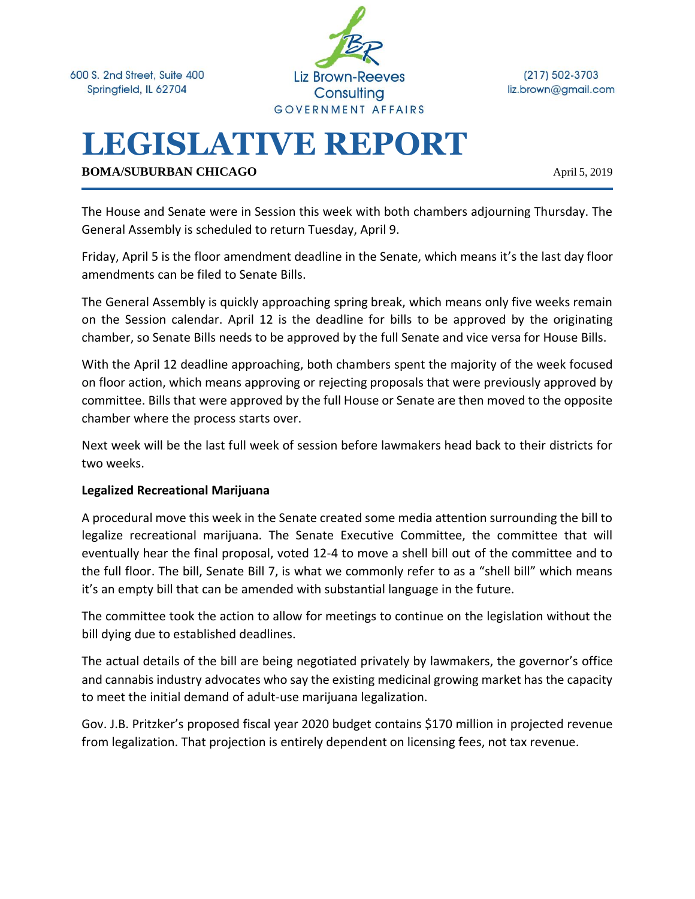600 S. 2nd Street, Suite 400 Springfield, IL 62704



 $(217) 502 - 3703$ liz.brown@gmail.com

# **LEGISLATIVE REPORT**

**BOMA/SUBURBAN CHICAGO** April 5, 2019

The House and Senate were in Session this week with both chambers adjourning Thursday. The General Assembly is scheduled to return Tuesday, April 9.

Friday, April 5 is the floor amendment deadline in the Senate, which means it's the last day floor amendments can be filed to Senate Bills.

The General Assembly is quickly approaching spring break, which means only five weeks remain on the Session calendar. April 12 is the deadline for bills to be approved by the originating chamber, so Senate Bills needs to be approved by the full Senate and vice versa for House Bills.

With the April 12 deadline approaching, both chambers spent the majority of the week focused on floor action, which means approving or rejecting proposals that were previously approved by committee. Bills that were approved by the full House or Senate are then moved to the opposite chamber where the process starts over.

Next week will be the last full week of session before lawmakers head back to their districts for two weeks.

#### **Legalized Recreational Marijuana**

A procedural move this week in the Senate created some media attention surrounding the bill to legalize recreational marijuana. The Senate Executive Committee, the committee that will eventually hear the final proposal, voted 12-4 to move a shell bill out of the committee and to the full floor. The bill, Senate Bill 7, is what we commonly refer to as a "shell bill" which means it's an empty bill that can be amended with substantial language in the future.

The committee took the action to allow for meetings to continue on the legislation without the bill dying due to established deadlines.

The actual details of the bill are being negotiated privately by lawmakers, the governor's office and cannabis industry advocates who say the existing medicinal growing market has the capacity to meet the initial demand of adult-use marijuana legalization.

Gov. J.B. Pritzker's proposed fiscal year 2020 budget contains \$170 million in projected revenue from legalization. That projection is entirely dependent on licensing fees, not tax revenue.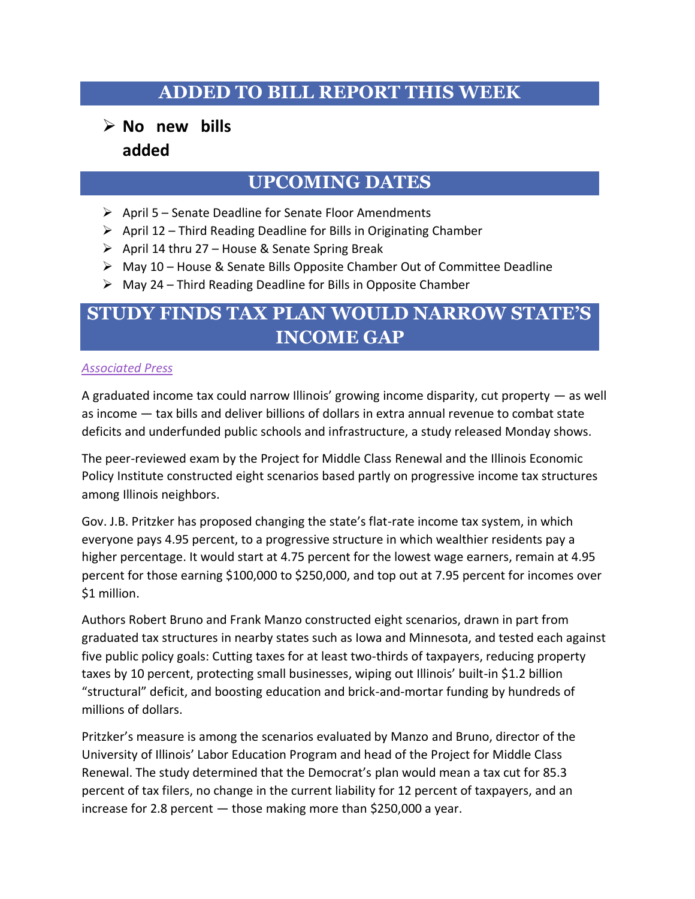### **ADDED TO BILL REPORT THIS WEEK**

### ➢ **No new bills added**

### **UPCOMING DATES**

- ➢ April 5 Senate Deadline for Senate Floor Amendments
- $\triangleright$  April 12 Third Reading Deadline for Bills in Originating Chamber
- $\triangleright$  April 14 thru 27 House & Senate Spring Break
- $\triangleright$  May 10 House & Senate Bills Opposite Chamber Out of Committee Deadline
- $\triangleright$  May 24 Third Reading Deadline for Bills in Opposite Chamber

# **STUDY FINDS TAX PLAN WOULD NARROW STATE'S INCOME GAP**

#### *[Associated Press](https://www.sj-r.com/news/20190331/study-finds-tax-plan-would-narrow-states-income-gap)*

A graduated income tax could narrow Illinois' growing income disparity, cut property — as well as income — tax bills and deliver billions of dollars in extra annual revenue to combat state deficits and underfunded public schools and infrastructure, a study released Monday shows.

The peer-reviewed exam by the Project for Middle Class Renewal and the Illinois Economic Policy Institute constructed eight scenarios based partly on progressive income tax structures among Illinois neighbors.

Gov. J.B. Pritzker has proposed changing the state's flat-rate income tax system, in which everyone pays 4.95 percent, to a progressive structure in which wealthier residents pay a higher percentage. It would start at 4.75 percent for the lowest wage earners, remain at 4.95 percent for those earning \$100,000 to \$250,000, and top out at 7.95 percent for incomes over \$1 million.

Authors Robert Bruno and Frank Manzo constructed eight scenarios, drawn in part from graduated tax structures in nearby states such as Iowa and Minnesota, and tested each against five public policy goals: Cutting taxes for at least two-thirds of taxpayers, reducing property taxes by 10 percent, protecting small businesses, wiping out Illinois' built-in \$1.2 billion "structural" deficit, and boosting education and brick-and-mortar funding by hundreds of millions of dollars.

Pritzker's measure is among the scenarios evaluated by Manzo and Bruno, director of the University of Illinois' Labor Education Program and head of the Project for Middle Class Renewal. The study determined that the Democrat's plan would mean a tax cut for 85.3 percent of tax filers, no change in the current liability for 12 percent of taxpayers, and an increase for 2.8 percent — those making more than \$250,000 a year.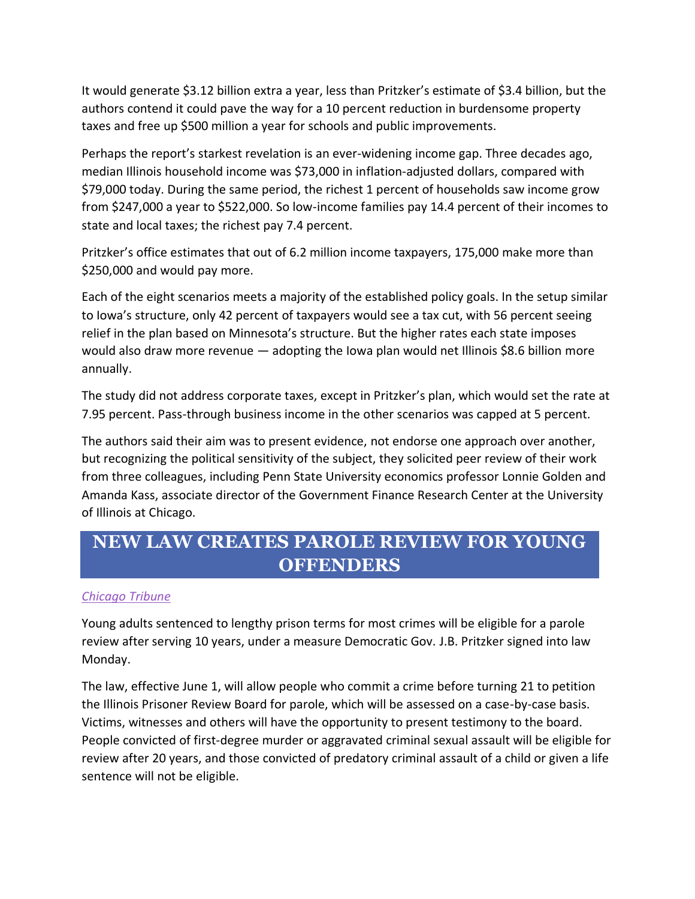It would generate \$3.12 billion extra a year, less than Pritzker's estimate of \$3.4 billion, but the authors contend it could pave the way for a 10 percent reduction in burdensome property taxes and free up \$500 million a year for schools and public improvements.

Perhaps the report's starkest revelation is an ever-widening income gap. Three decades ago, median Illinois household income was \$73,000 in inflation-adjusted dollars, compared with \$79,000 today. During the same period, the richest 1 percent of households saw income grow from \$247,000 a year to \$522,000. So low-income families pay 14.4 percent of their incomes to state and local taxes; the richest pay 7.4 percent.

Pritzker's office estimates that out of 6.2 million income taxpayers, 175,000 make more than \$250,000 and would pay more.

Each of the eight scenarios meets a majority of the established policy goals. In the setup similar to Iowa's structure, only 42 percent of taxpayers would see a tax cut, with 56 percent seeing relief in the plan based on Minnesota's structure. But the higher rates each state imposes would also draw more revenue — adopting the Iowa plan would net Illinois \$8.6 billion more annually.

The study did not address corporate taxes, except in Pritzker's plan, which would set the rate at 7.95 percent. Pass-through business income in the other scenarios was capped at 5 percent.

The authors said their aim was to present evidence, not endorse one approach over another, but recognizing the political sensitivity of the subject, they solicited peer review of their work from three colleagues, including Penn State University economics professor Lonnie Golden and Amanda Kass, associate director of the Government Finance Research Center at the University of Illinois at Chicago.

# **NEW LAW CREATES PAROLE REVIEW FOR YOUNG OFFENDERS**

#### *[Chicago Tribune](https://www.chicagotribune.com/news/local/politics/ct-met-jb-pritzker-parole-reform-20190401-story.html)*

Young adults sentenced to lengthy prison terms for most crimes will be eligible for a parole review after serving 10 years, under a measure Democratic Gov. J.B. Pritzker signed into law Monday.

The law, effective June 1, will allow people who commit a crime before turning 21 to petition the Illinois Prisoner Review Board for parole, which will be assessed on a case-by-case basis. Victims, witnesses and others will have the opportunity to present testimony to the board. People convicted of first-degree murder or aggravated criminal sexual assault will be eligible for review after 20 years, and those convicted of predatory criminal assault of a child or given a life sentence will not be eligible.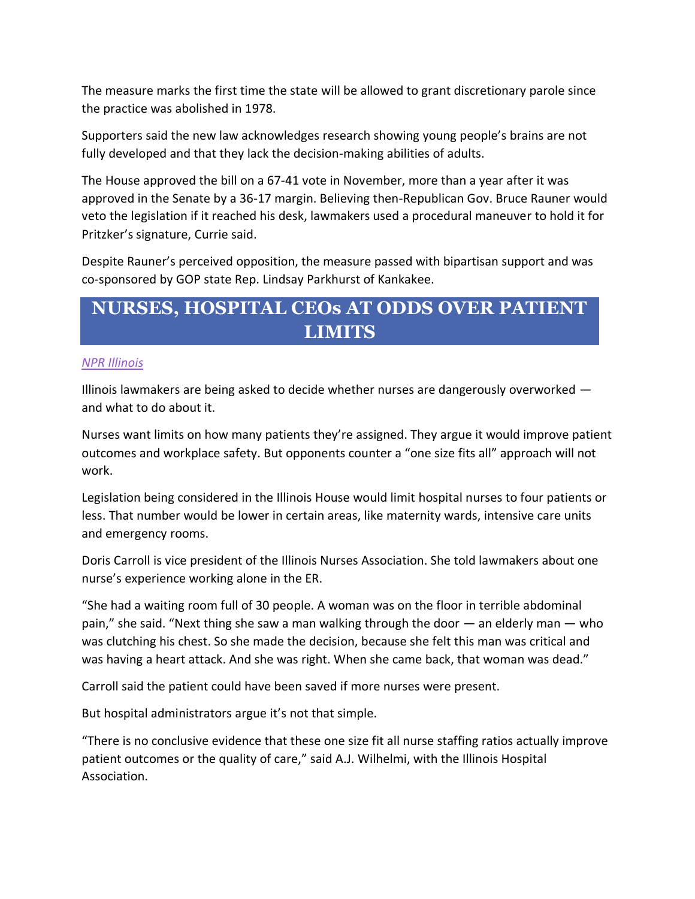The measure marks the first time the state will be allowed to grant discretionary parole since the practice was abolished in 1978.

Supporters said the new law acknowledges research showing young people's brains are not fully developed and that they lack the decision-making abilities of adults.

The House approved the bill on a 67-41 vote in November, more than a year after it was approved in the Senate by a 36-17 margin. Believing then-Republican Gov. Bruce Rauner would veto the legislation if it reached his desk, lawmakers used a procedural maneuver to hold it for Pritzker's signature, Currie said.

Despite Rauner's perceived opposition, the measure passed with bipartisan support and was co-sponsored by GOP state Rep. Lindsay Parkhurst of Kankakee.

### **NURSES, HOSPITAL CEOs AT ODDS OVER PATIENT LIMITS**

#### *[NPR Illinois](http://www.nprillinois.org/post/illinois-nurses-hospital-ceos-odds-over-patient-limits#stream/0)*

Illinois lawmakers are being asked to decide whether nurses are dangerously overworked and what to do about it.

Nurses want limits on how many patients they're assigned. They argue it would improve patient outcomes and workplace safety. But opponents counter a "one size fits all" approach will not work.

Legislation being considered in the Illinois House would limit hospital nurses to four patients or less. That number would be lower in certain areas, like maternity wards, intensive care units and emergency rooms.

Doris Carroll is vice president of the Illinois Nurses Association. She told lawmakers about one nurse's experience working alone in the ER.

"She had a waiting room full of 30 people. A woman was on the floor in terrible abdominal pain," she said. "Next thing she saw a man walking through the door — an elderly man — who was clutching his chest. So she made the decision, because she felt this man was critical and was having a heart attack. And she was right. When she came back, that woman was dead."

Carroll said the patient could have been saved if more nurses were present.

But hospital administrators argue it's not that simple.

"There is no conclusive evidence that these one size fit all nurse staffing ratios actually improve patient outcomes or the quality of care," said A.J. Wilhelmi, with the Illinois Hospital Association.